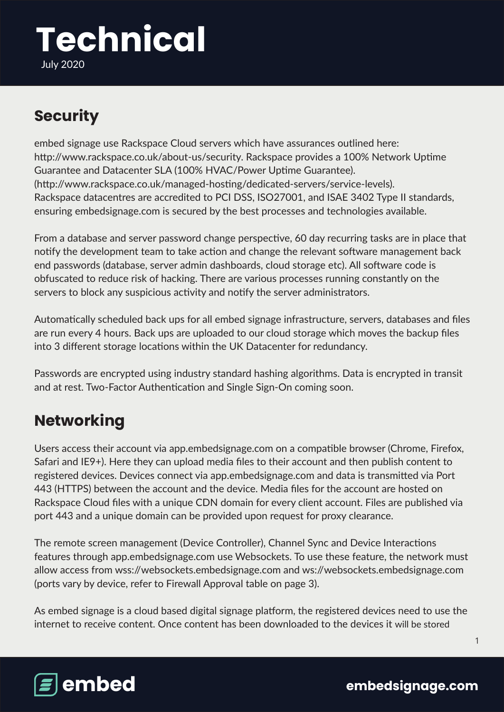# **Technical**

July 2020

## **Security**

embed signage use Rackspace Cloud servers which have assurances outlined here: http://www.rackspace.co.uk/about-us/security. Rackspace provides a 100% Network Uptime Guarantee and Datacenter SLA (100% HVAC/Power Uptime Guarantee). (http://www.rackspace.co.uk/managed-hosting/dedicated-servers/service-levels). Rackspace datacentres are accredited to PCI DSS, ISO27001, and ISAE 3402 Type II standards, ensuring embedsignage.com is secured by the best processes and technologies available.

From a database and server password change perspective, 60 day recurring tasks are in place that notify the development team to take action and change the relevant software management back end passwords (database, server admin dashboards, cloud storage etc). All software code is obfuscated to reduce risk of hacking. There are various processes running constantly on the servers to block any suspicious activity and notify the server administrators.

Automatically scheduled back ups for all embed signage infrastructure, servers, databases and files are run every 4 hours. Back ups are uploaded to our cloud storage which moves the backup files into 3 different storage locations within the UK Datacenter for redundancy.

Passwords are encrypted using industry standard hashing algorithms. Data is encrypted in transit and at rest. Two-Factor Authentication and Single Sign-On coming soon.

### **Networking**

Users access their account via app.embedsignage.com on a compatible browser (Chrome, Firefox, Safari and IE9+). Here they can upload media files to their account and then publish content to registered devices. Devices connect via app.embedsignage.com and data is transmitted via Port 443 (HTTPS) between the account and the device. Media files for the account are hosted on Rackspace Cloud files with a unique CDN domain for every client account. Files are published via port 443 and a unique domain can be provided upon request for proxy clearance.

The remote screen management (Device Controller), Channel Sync and Device Interactions features through app.embedsignage.com use Websockets. To use these feature, the network must allow access from wss://websockets.embedsignage.com and ws://websockets.embedsignage.com (ports vary by device, refer to Firewall Approval table on page 3).

As embed signage is a cloud based digital signage platform, the registered devices need to use the internet to receive content. Once content has been downloaded to the devices it will be stored



1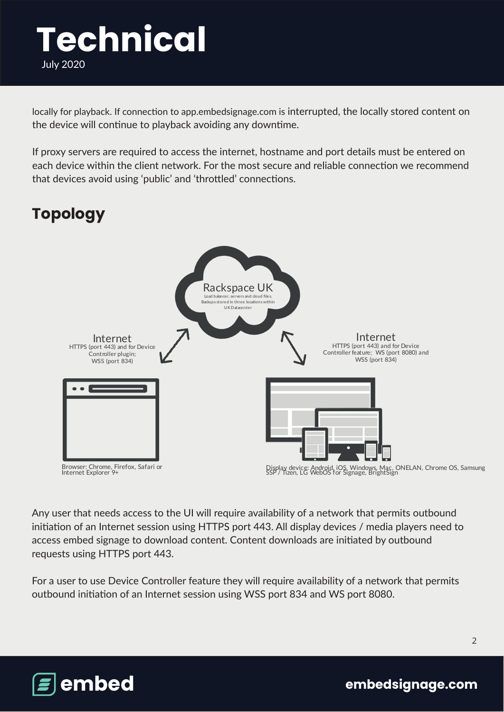locally for playback. If connection to app.embedsignage.com is interrupted, the locally stored content on the device will continue to playback avoiding any downtime.

If proxy servers are required to access the internet, hostname and port details must be entered on each device within the client network. For the most secure and reliable connection we recommend that devices avoid using 'public' and 'throttled' connections.

# **Topology**



Any user that needs access to the UI will require availability of a network that permits outbound initiation of an Internet session using HTTPS port 443. All display devices / media players need to access embed signage to download content. Content downloads are initiated by outbound requests using HTTPS port 443.

For a user to use Device Controller feature they will require availability of a network that permits outbound initiation of an Internet session using WSS port 834 and WS port 8080.



 **embedsignage.com**